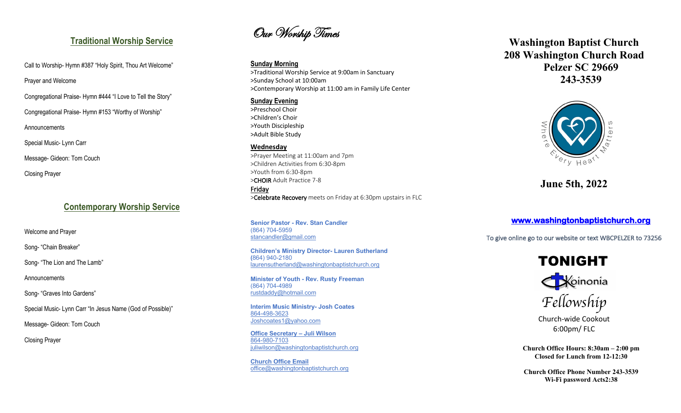## **Traditional Worship Service**

Call to Worship-Hymn #387 "Holy Spirit, Thou Art Welcome"

Prayer and Welcome

Congregational Praise - Hymn #444 "I Love to Tell the Story "

Congregational Praise - Hymn #153 "Worthy of Worship "

Announcements

Special Music - Lynn Carr

Message - Gideon: Tom Couch

Closing Prayer

# **Contemporary Worship Service**

Welcome and Prayer

Song- "Chain Breaker"

Song- "The Lion and The Lamb"

**Announcements** 

Song- "Graves Into Gardens "

Special Music - Lynn Carr "In Jesus Name (God of Possible)"

Message - Gideon: Tom Couch

Closing Prayer

Our Worship Times

#### **Sunday Morning**

>Traditional Worship Service at 9:00am in Sanctuary >Sunday School at 10:00am >Contemporary Worship at 11:00 am in Family Life Center

### **Sunday Evening**

>Preschool Choir >Children's Choir >Youth Discipleship >Adult Bible Study

### **Wednesday**

>Prayer Meeting at 11:00am and 7pm >Children Activities from 6:30 -8pm >Youth from 6:30 -8pm >CHOIR Adult Practice 7-8 **Friday<br>
>Celebrate Recovery** meets on Friday at 6:30pm upstairs in FLC

**Senior Pastor - Rev. Stan Candler** (864) 704 -5959 stancandler@gmail.com

**Children's Ministry Director - Lauren Sutherland (**864) 940 -2180 laurensutherland@washingtonbaptistchurch.org

**Minister of Youth - Rev. Rusty Freeman** (864) 704 -4989 rustdaddy@hotmail.com

**Interim Music Ministry - Josh Coates** 864 -498 -3623 Joshcoates1@yahoo.com

**Office Secretary – Juli Wilson** 864 -980 -7103 juliwilson@washingtonbaptistchurch.org

**Church Office Email** office@washingtonbaptistchurch.org

 **Washington Baptist Church 208 Washington Church Road Pelzer SC 29669 243 -3539**



**June 5th, 2022**

**www.washingtonbaptistchurch.org** 

To give online go to our website or text WBCPELZER to 73256





Church -wide Cookout 6:00pm/ FLC

**Church Office Hours: 8:30am – 2:00 pm Closed for Lunch from 12 -12:30**

**Church Office Phone Number 243 -3539 Wi -Fi password Acts2:38**